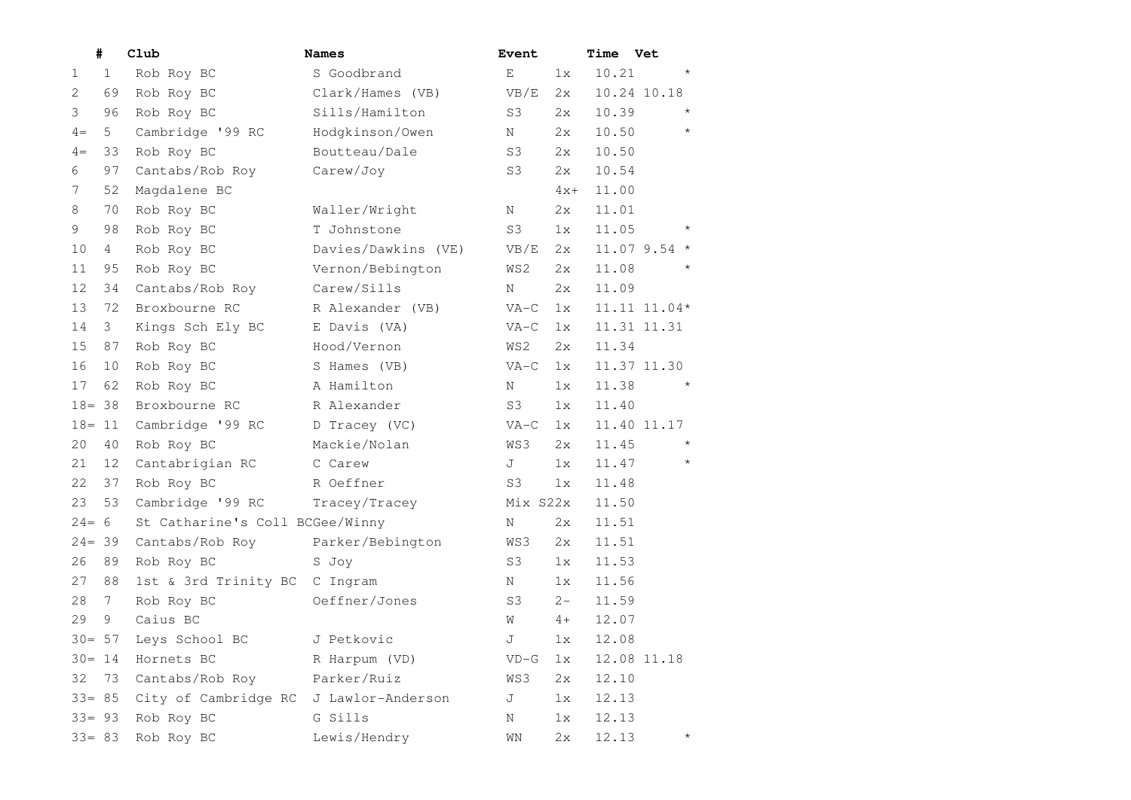| #                 |    | Club                            | <b>Names</b>        | Event          |       | <b>Time Vet</b> |                  |
|-------------------|----|---------------------------------|---------------------|----------------|-------|-----------------|------------------|
| $\mathbf{1}$<br>1 |    | Rob Roy BC                      | S Goodbrand         | E              | 1x    | 10.21           | $\star$          |
| $\overline{2}$    | 69 | Rob Roy BC                      | Clark/Hames (VB)    | VB/E           | 2x    |                 | 10.24 10.18      |
| 3                 | 96 | Rob Roy BC                      | Sills/Hamilton      | S3             | 2x    | 10.39           | $\star$          |
| 5<br>$4 =$        |    | Cambridge '99 RC                | Hodgkinson/Owen     | N              | 2x    | 10.50           | $\star$          |
| $4 =$             | 33 | Rob Roy BC                      | Boutteau/Dale       | S3             | 2x    | 10.50           |                  |
| 6                 | 97 | Cantabs/Rob Roy                 | Carew/Joy           | S3             | 2x    | 10.54           |                  |
| 7                 | 52 | Magdalene BC                    |                     |                | $4x+$ | 11.00           |                  |
| 8                 | 70 | Rob Roy BC                      | Waller/Wright       | Ν              | 2x    | 11.01           |                  |
| 9                 | 98 | Rob Roy BC                      | T Johnstone         | S3             | 1x    | 11.05           | $^\star$         |
| 10<br>4           |    | Rob Roy BC                      | Davies/Dawkins (VE) | VB/E           | 2x    |                 | $11.079.54*$     |
| 11                | 95 | Rob Roy BC                      | Vernon/Bebington    | WS2            | 2x    | 11.08           | $\star$          |
| 12                | 34 | Cantabs/Rob Roy                 | Carew/Sills         | Ν              | 2x    | 11.09           |                  |
| 13                | 72 | Broxbourne RC                   | R Alexander (VB)    | $VA-C$         | 1x    |                 | $11.11$ $11.04*$ |
| 14<br>3           |    | Kings Sch Ely BC                | E Davis (VA)        | $VA-C$         | 1x    |                 | 11.31 11.31      |
| 15                | 87 | Rob Roy BC                      | Hood/Vernon         | WS2            | 2x    | 11.34           |                  |
| 16                | 10 | Rob Roy BC                      | S Hames (VB)        | $VA-C$         | 1x    |                 | 11.37 11.30      |
| 17                | 62 | Rob Roy BC                      | A Hamilton          | Ν              | 1x    | 11.38           | $\star$          |
| $18 = 38$         |    | Broxbourne RC                   | R Alexander         | S3             | 1x    | 11.40           |                  |
| $18 = 11$         |    | Cambridge '99 RC                | D Tracey (VC)       | $VA-C$         | 1x    |                 | 11.40 11.17      |
| 20                | 40 | Rob Roy BC                      | Mackie/Nolan        | WS3            | 2x    | 11.45           | $\star$          |
| 21                | 12 | Cantabrigian RC                 | C Carew             | J              | 1x    | 11.47           | $\star$          |
| 22                | 37 | Rob Roy BC                      | R Oeffner           | S <sub>3</sub> | 1x    | 11.48           |                  |
| 23                | 53 | Cambridge '99 RC                | Tracey/Tracey       | Mix S22x       |       | 11.50           |                  |
| $24 = 6$          |    | St Catharine's Coll BCGee/Winny |                     | Ν              | 2x    | 11.51           |                  |
| $24 = 39$         |    | Cantabs/Rob Roy                 | Parker/Bebington    | WS3            | 2x    | 11.51           |                  |
| 26                | 89 | Rob Roy BC                      | S Joy               | S3             | 1x    | 11.53           |                  |
| 27                | 88 | 1st & 3rd Trinity BC            | C Ingram            | Ν              | 1x    | 11.56           |                  |
| 28<br>7           |    | Rob Roy BC                      | Oeffner/Jones       | S3             | $2 -$ | 11.59           |                  |
| 29<br>9           |    | Caius BC                        |                     | W              | 4+    | 12.07           |                  |
| $30 = 57$         |    | Leys School BC                  | J Petkovic          | J              | 1x    | 12.08           |                  |
| $30 = 14$         |    | Hornets BC                      | R Harpum (VD)       | $VD-G$         | 1x    |                 | 12.08 11.18      |
| 32                | 73 | Cantabs/Rob Roy                 | Parker/Ruiz         | WS3            | 2x    | 12.10           |                  |
| $33 = 85$         |    | City of Cambridge RC            | J Lawlor-Anderson   | J              | 1x    | 12.13           |                  |
| $33 = 93$         |    | Rob Roy BC                      | G Sills             | Ν              | 1x    | 12.13           |                  |
| $33 = 83$         |    | Rob Roy BC                      | Lewis/Hendry        | WN             | 2x    | 12.13           | $^\star$         |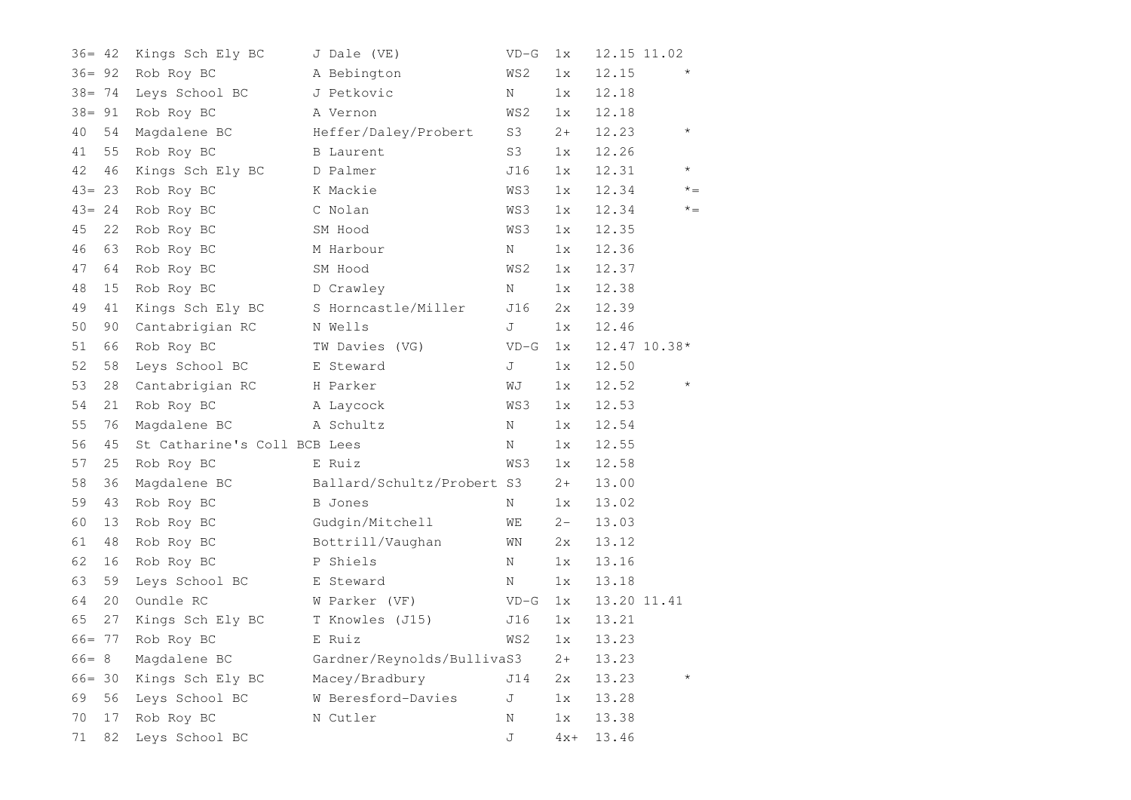| $36 = 42$ |    | Kings Sch Ely BC             | J Dale (VE)                | $VD-G$ | 1x    |       | 12.15 11.02  |
|-----------|----|------------------------------|----------------------------|--------|-------|-------|--------------|
| $36 = 92$ |    | Rob Roy BC                   | A Bebington                | WS2    | 1x    | 12.15 | $\star$      |
| $38 = 74$ |    | Leys School BC               | J Petkovic                 | N      | 1x    | 12.18 |              |
| $38 = 91$ |    | Rob Roy BC                   | A Vernon                   | WS2    | 1x    | 12.18 |              |
| 40        | 54 | Magdalene BC                 | Heffer/Daley/Probert       | S3     | $2+$  | 12.23 | $\star$      |
| 41        | 55 | Rob Roy BC                   | <b>B</b> Laurent           | S3     | 1x    | 12.26 |              |
| 42        | 46 | Kings Sch Ely BC             | D Palmer                   | J16    | 1x    | 12.31 | $\star$      |
| $43 = 23$ |    | Rob Roy BC                   | K Mackie                   | WS3    | 1x    | 12.34 | $* =$        |
| $43 = 24$ |    | Rob Roy BC                   | C Nolan                    | WS3    | 1x    | 12.34 | $x^* =$      |
| 45        | 22 | Rob Roy BC                   | SM Hood                    | WS3    | 1x    | 12.35 |              |
| 46        | 63 | Rob Roy BC                   | M Harbour                  | Ν      | 1x    | 12.36 |              |
| 47        | 64 | Rob Roy BC                   | SM Hood                    | WS2    | 1x    | 12.37 |              |
| 48        | 15 | Rob Roy BC                   | D Crawley                  | Ν      | 1x    | 12.38 |              |
| 49        | 41 | Kings Sch Ely BC             | S Horncastle/Miller        | J16    | 2x    | 12.39 |              |
| 50        | 90 | Cantabrigian RC              | N Wells                    | J      | 1x    | 12.46 |              |
| 51        | 66 | Rob Roy BC                   | TW Davies (VG)             | $VD-G$ | 1x    |       | 12.47 10.38* |
| 52        | 58 | Leys School BC               | E Steward                  | J      | 1x    | 12.50 |              |
| 53        | 28 | Cantabrigian RC              | H Parker                   | WJ     | 1x    | 12.52 | $^\star$     |
| 54        | 21 | Rob Roy BC                   | A Laycock                  | WS3    | 1x    | 12.53 |              |
| 55        | 76 | Magdalene BC                 | A Schultz                  | Ν      | 1x    | 12.54 |              |
| 56        | 45 | St Catharine's Coll BCB Lees |                            | Ν      | 1x    | 12.55 |              |
| 57        | 25 | Rob Roy BC                   | E Ruiz                     | WS3    | 1x    | 12.58 |              |
| 58        | 36 | Magdalene BC                 | Ballard/Schultz/Probert S3 |        | $2+$  | 13.00 |              |
| 59        | 43 | Rob Roy BC                   | <b>B</b> Jones             | Ν      | 1x    | 13.02 |              |
| 60        | 13 | Rob Roy BC                   | Gudgin/Mitchell            | WЕ     | $2 -$ | 13.03 |              |
| 61        | 48 | Rob Roy BC                   | Bottrill/Vaughan           | WΝ     | 2x    | 13.12 |              |
| 62        | 16 | Rob Roy BC                   | P Shiels                   | Ν      | 1x    | 13.16 |              |
| 63        | 59 | Leys School BC               | E Steward                  | Ν      | 1x    | 13.18 |              |
| 64        | 20 | Oundle RC                    | W Parker (VF)              | $VD-G$ | 1x    |       | 13.20 11.41  |
| 65        | 27 | Kings Sch Ely BC             | T Knowles (J15)            | J16    | 1x    | 13.21 |              |
| $66 = 77$ |    | Rob Roy BC                   | E Ruiz                     | WS2    | 1x    | 13.23 |              |
| $66 = 8$  |    | Magdalene BC                 | Gardner/Reynolds/BullivaS3 |        | $2+$  | 13.23 |              |
| $66 = 30$ |    | Kings Sch Ely BC             | Macey/Bradbury             | J14    | 2x    | 13.23 |              |
| 69        | 56 | Leys School BC               | W Beresford-Davies         | J      | 1x    | 13.28 |              |
| 70        | 17 | Rob Roy BC                   | N Cutler                   | Ν      | 1x    | 13.38 |              |
| 71        | 82 | Leys School BC               |                            | J      | $4x+$ | 13.46 |              |